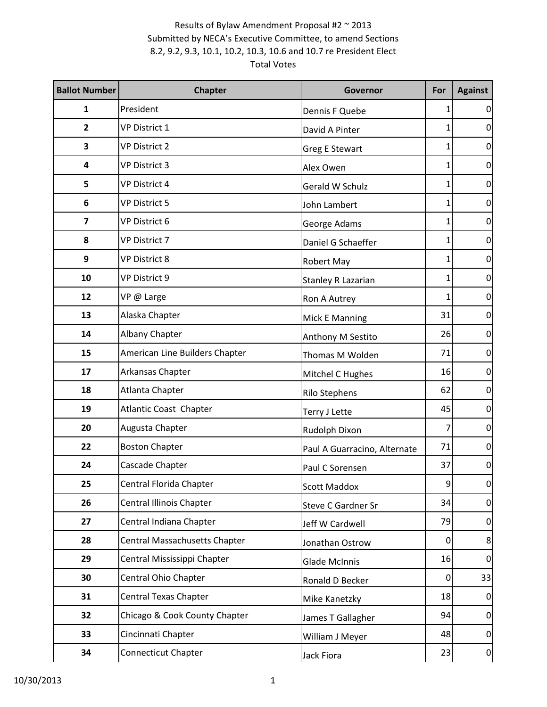| <b>Ballot Number</b>    | <b>Chapter</b>                  | Governor                     | For            | <b>Against</b>   |
|-------------------------|---------------------------------|------------------------------|----------------|------------------|
| 1                       | President                       | Dennis F Quebe               |                | 0                |
| $\overline{2}$          | <b>VP District 1</b>            | David A Pinter               |                | $\mathbf 0$      |
| 3                       | <b>VP District 2</b>            | <b>Greg E Stewart</b>        |                | $\mathbf 0$      |
| 4                       | <b>VP District 3</b>            | Alex Owen                    |                | $\boldsymbol{0}$ |
| 5                       | <b>VP District 4</b>            | Gerald W Schulz              |                | $\boldsymbol{0}$ |
| 6                       | <b>VP District 5</b>            | John Lambert                 |                | $\mathbf 0$      |
| $\overline{\mathbf{z}}$ | VP District 6                   | George Adams                 |                | $\boldsymbol{0}$ |
| 8                       | VP District 7                   | Daniel G Schaeffer           |                | $\overline{0}$   |
| 9                       | <b>VP District 8</b>            | Robert May                   |                | $\boldsymbol{0}$ |
| 10                      | VP District 9                   | <b>Stanley R Lazarian</b>    |                | $\mathbf 0$      |
| 12                      | VP @ Large                      | Ron A Autrey                 |                | $\boldsymbol{0}$ |
| 13                      | Alaska Chapter                  | Mick E Manning               | 31             | $\overline{0}$   |
| 14                      | Albany Chapter                  | Anthony M Sestito            | 26             | $\boldsymbol{0}$ |
| 15                      | American Line Builders Chapter  | Thomas M Wolden              | 71             | $\mathbf 0$      |
| 17                      | Arkansas Chapter                | Mitchel C Hughes             | 16             | $\pmb{0}$        |
| 18                      | Atlanta Chapter                 | <b>Rilo Stephens</b>         | 62             | $\boldsymbol{0}$ |
| 19                      | Atlantic Coast Chapter          | Terry J Lette                | 45             | $\pmb{0}$        |
| 20                      | Augusta Chapter                 | Rudolph Dixon                |                | $\mathbf 0$      |
| 22                      | <b>Boston Chapter</b>           | Paul A Guarracino, Alternate | 71             | $\pmb{0}$        |
| 24                      | Cascade Chapter                 | Paul C Sorensen              | 37             | $\boldsymbol{0}$ |
| 25                      | Central Florida Chapter         | <b>Scott Maddox</b>          | 9              | $\overline{0}$   |
| 26                      | <b>Central Illinois Chapter</b> | Steve C Gardner Sr           | 34             | $\overline{0}$   |
| 27                      | Central Indiana Chapter         | Jeff W Cardwell              | 79             | $\mathbf 0$      |
| 28                      | Central Massachusetts Chapter   | Jonathan Ostrow              | $\Omega$       | 8                |
| 29                      | Central Mississippi Chapter     | <b>Glade McInnis</b>         | 16             | $\mathbf 0$      |
| 30                      | Central Ohio Chapter            | Ronald D Becker              | $\overline{0}$ | 33               |
| 31                      | <b>Central Texas Chapter</b>    | Mike Kanetzky                | 18             | $\mathbf 0$      |
| 32                      | Chicago & Cook County Chapter   | James T Gallagher            | 94             | $\overline{0}$   |
| 33                      | Cincinnati Chapter              | William J Meyer              | 48             | $\overline{0}$   |
| 34                      | Connecticut Chapter             | Jack Fiora                   | 23             | $\mathbf{0}$     |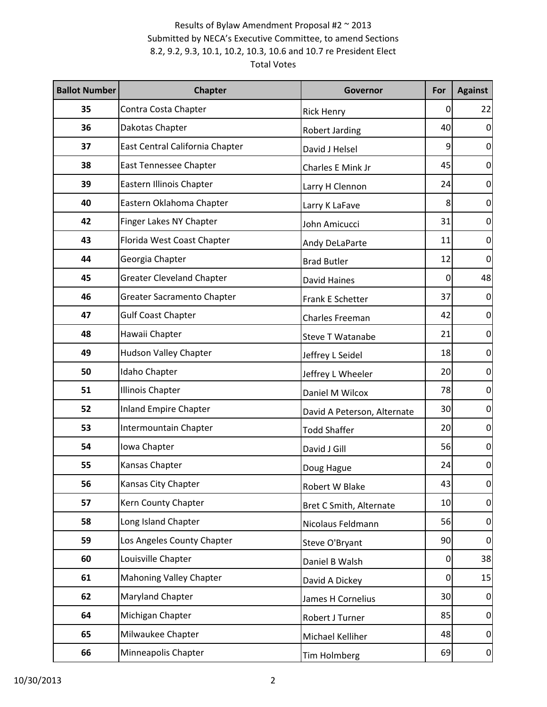| <b>Ballot Number</b> | <b>Chapter</b>                    | Governor                    | For            | <b>Against</b>   |
|----------------------|-----------------------------------|-----------------------------|----------------|------------------|
| 35                   | Contra Costa Chapter              | <b>Rick Henry</b>           | 0              | 22               |
| 36                   | Dakotas Chapter                   | Robert Jarding              | 40             | $\mathbf 0$      |
| 37                   | East Central California Chapter   | David J Helsel              | 9              | $\mathbf 0$      |
| 38                   | East Tennessee Chapter            | Charles E Mink Jr           | 45             | $\overline{0}$   |
| 39                   | Eastern Illinois Chapter          | Larry H Clennon             | 24             | $\boldsymbol{0}$ |
| 40                   | Eastern Oklahoma Chapter          | Larry K LaFave              | 8              | $\mathbf 0$      |
| 42                   | Finger Lakes NY Chapter           | John Amicucci               | 31             | $\boldsymbol{0}$ |
| 43                   | Florida West Coast Chapter        | Andy DeLaParte              | 11             | $\overline{0}$   |
| 44                   | Georgia Chapter                   | <b>Brad Butler</b>          | 12             | $\mathbf 0$      |
| 45                   | <b>Greater Cleveland Chapter</b>  | <b>David Haines</b>         | $\Omega$       | 48               |
| 46                   | <b>Greater Sacramento Chapter</b> | Frank E Schetter            | 37             | $\mathbf 0$      |
| 47                   | <b>Gulf Coast Chapter</b>         | <b>Charles Freeman</b>      | 42             | $\overline{0}$   |
| 48                   | Hawaii Chapter                    | <b>Steve T Watanabe</b>     | 21             | $\boldsymbol{0}$ |
| 49                   | <b>Hudson Valley Chapter</b>      | Jeffrey L Seidel            | 18             | $\boldsymbol{0}$ |
| 50                   | Idaho Chapter                     | Jeffrey L Wheeler           | 20             | $\pmb{0}$        |
| 51                   | <b>Illinois Chapter</b>           | Daniel M Wilcox             | 78             | $\boldsymbol{0}$ |
| 52                   | <b>Inland Empire Chapter</b>      | David A Peterson, Alternate | 30             | $\boldsymbol{0}$ |
| 53                   | Intermountain Chapter             | <b>Todd Shaffer</b>         | 20             | $\mathbf 0$      |
| 54                   | Iowa Chapter                      | David J Gill                | 56             | $\pmb{0}$        |
| 55                   | Kansas Chapter                    | Doug Hague                  | 24             | $\boldsymbol{0}$ |
| 56                   | Kansas City Chapter               | Robert W Blake              | 43             | $\overline{0}$   |
| 57                   | Kern County Chapter               | Bret C Smith, Alternate     | 10             | $\overline{0}$   |
| 58                   | Long Island Chapter               | Nicolaus Feldmann           | 56             | $\mathbf 0$      |
| 59                   | Los Angeles County Chapter        | Steve O'Bryant              | 90             | $\overline{0}$   |
| 60                   | Louisville Chapter                | Daniel B Walsh              | $\overline{0}$ | 38               |
| 61                   | <b>Mahoning Valley Chapter</b>    | David A Dickey              | $\overline{0}$ | 15               |
| 62                   | Maryland Chapter                  | James H Cornelius           | 30             | $\mathbf 0$      |
| 64                   | Michigan Chapter                  | Robert J Turner             | 85             | $\overline{0}$   |
| 65                   | Milwaukee Chapter                 | Michael Kelliher            | 48             | $\overline{0}$   |
| 66                   | Minneapolis Chapter               | Tim Holmberg                | 69             | $\mathbf{0}$     |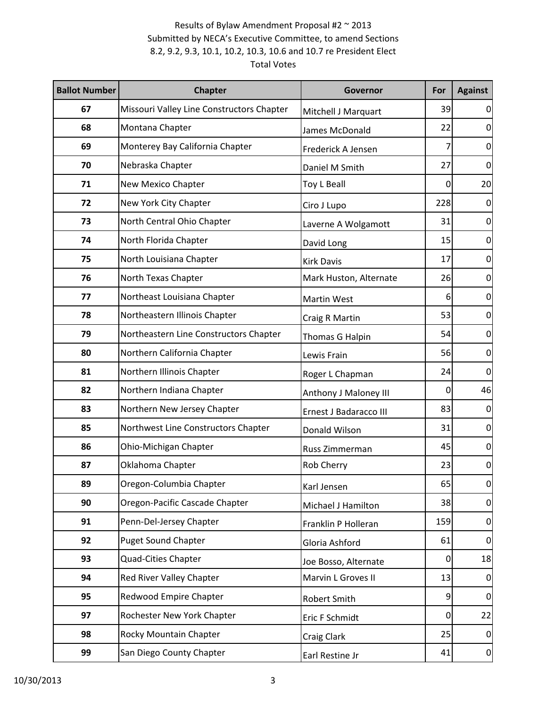| <b>Ballot Number</b> | <b>Chapter</b>                            | Governor               | For      | <b>Against</b>   |
|----------------------|-------------------------------------------|------------------------|----------|------------------|
| 67                   | Missouri Valley Line Constructors Chapter | Mitchell J Marquart    | 39       | 0                |
| 68                   | Montana Chapter                           | James McDonald         | 22       | $\boldsymbol{0}$ |
| 69                   | Monterey Bay California Chapter           | Frederick A Jensen     |          | $\mathbf 0$      |
| 70                   | Nebraska Chapter                          | Daniel M Smith         | 27       | $\pmb{0}$        |
| 71                   | New Mexico Chapter                        | Toy L Beall            | 0        | 20               |
| 72                   | New York City Chapter                     | Ciro J Lupo            | 228      | $\mathbf 0$      |
| 73                   | North Central Ohio Chapter                | Laverne A Wolgamott    | 31       | $\mathbf 0$      |
| 74                   | North Florida Chapter                     | David Long             | 15       | $\overline{0}$   |
| 75                   | North Louisiana Chapter                   | <b>Kirk Davis</b>      | 17       | $\boldsymbol{0}$ |
| 76                   | North Texas Chapter                       | Mark Huston, Alternate | 26       | $\mathbf 0$      |
| 77                   | Northeast Louisiana Chapter               | Martin West            | 6        | $\mathbf 0$      |
| 78                   | Northeastern Illinois Chapter             | Craig R Martin         | 53       | $\overline{0}$   |
| 79                   | Northeastern Line Constructors Chapter    | Thomas G Halpin        | 54       | $\boldsymbol{0}$ |
| 80                   | Northern California Chapter               | Lewis Frain            | 56       | $\mathbf 0$      |
| 81                   | Northern Illinois Chapter                 | Roger L Chapman        | 24       | $\mathbf 0$      |
| 82                   | Northern Indiana Chapter                  | Anthony J Maloney III  | 0        | 46               |
| 83                   | Northern New Jersey Chapter               | Ernest J Badaracco III | 83       | $\mathbf 0$      |
| 85                   | Northwest Line Constructors Chapter       | Donald Wilson          | 31       | $\mathbf 0$      |
| 86                   | Ohio-Michigan Chapter                     | Russ Zimmerman         | 45       | $\mathbf 0$      |
| 87                   | Oklahoma Chapter                          | Rob Cherry             | 23       | $\boldsymbol{0}$ |
| 89                   | Oregon-Columbia Chapter                   | Karl Jensen            | 65       | $\overline{0}$   |
| 90                   | Oregon-Pacific Cascade Chapter            | Michael J Hamilton     | 38       | $\overline{0}$   |
| 91                   | Penn-Del-Jersey Chapter                   | Franklin P Holleran    | 159      | $\mathbf 0$      |
| 92                   | <b>Puget Sound Chapter</b>                | Gloria Ashford         | 61       | $\overline{0}$   |
| 93                   | <b>Quad-Cities Chapter</b>                | Joe Bosso, Alternate   | 0        | 18               |
| 94                   | Red River Valley Chapter                  | Marvin L Groves II     | 13       | $\overline{0}$   |
| 95                   | <b>Redwood Empire Chapter</b>             | Robert Smith           | 9        | $\mathbf 0$      |
| 97                   | Rochester New York Chapter                | Eric F Schmidt         | $\Omega$ | 22               |
| 98                   | Rocky Mountain Chapter                    | Craig Clark            | 25       | $\overline{0}$   |
| 99                   | San Diego County Chapter                  | Earl Restine Jr        | 41       | $\mathbf{0}$     |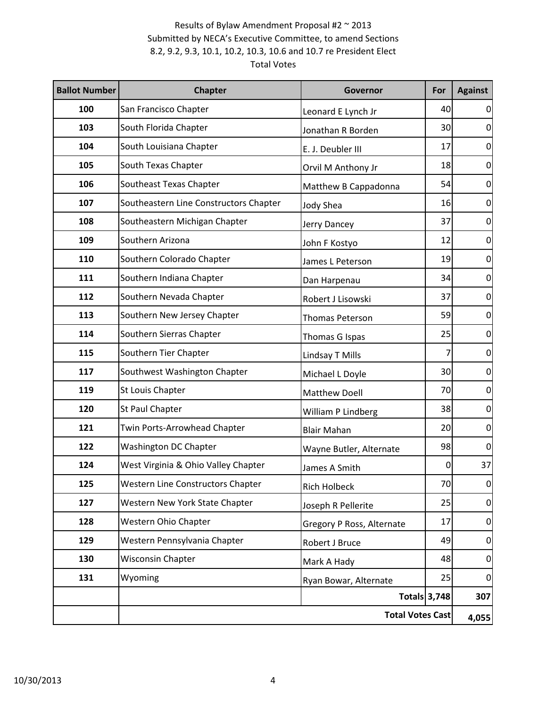| <b>Ballot Number</b> | <b>Chapter</b>                         | Governor                  | For                 | <b>Against</b>   |
|----------------------|----------------------------------------|---------------------------|---------------------|------------------|
| 100                  | San Francisco Chapter                  | Leonard E Lynch Jr        | 40                  | 0                |
| 103                  | South Florida Chapter                  | Jonathan R Borden         | 30                  | $\mathbf 0$      |
| 104                  | South Louisiana Chapter                | E. J. Deubler III         | 17                  | $\mathbf 0$      |
| 105                  | South Texas Chapter                    | Orvil M Anthony Jr        | 18                  | $\overline{0}$   |
| 106                  | Southeast Texas Chapter                | Matthew B Cappadonna      | 54                  | $\boldsymbol{0}$ |
| 107                  | Southeastern Line Constructors Chapter | <b>Jody Shea</b>          | 16                  | $\mathbf 0$      |
| 108                  | Southeastern Michigan Chapter          | Jerry Dancey              | 37                  | $\mathbf 0$      |
| 109                  | Southern Arizona                       | John F Kostyo             | 12                  | $\boldsymbol{0}$ |
| 110                  | Southern Colorado Chapter              | James L Peterson          | 19                  | $\boldsymbol{0}$ |
| 111                  | Southern Indiana Chapter               | Dan Harpenau              | 34                  | $\mathbf 0$      |
| 112                  | Southern Nevada Chapter                | Robert J Lisowski         | 37                  | $\mathbf 0$      |
| 113                  | Southern New Jersey Chapter            | <b>Thomas Peterson</b>    | 59                  | $\overline{0}$   |
| 114                  | Southern Sierras Chapter               | Thomas G Ispas            | 25                  | $\pmb{0}$        |
| 115                  | Southern Tier Chapter                  | Lindsay T Mills           |                     | $\mathbf 0$      |
| 117                  | Southwest Washington Chapter           | Michael L Doyle           | 30                  | $\mathbf 0$      |
| 119                  | St Louis Chapter                       | <b>Matthew Doell</b>      | 70                  | $\mathbf 0$      |
| 120                  | St Paul Chapter                        | William P Lindberg        | 38                  | $\pmb{0}$        |
| 121                  | Twin Ports-Arrowhead Chapter           | <b>Blair Mahan</b>        | 20                  | $\mathbf 0$      |
| 122                  | Washington DC Chapter                  | Wayne Butler, Alternate   | 98                  | $\mathbf 0$      |
| 124                  | West Virginia & Ohio Valley Chapter    | James A Smith             | 0                   | 37               |
| 125                  | Western Line Constructors Chapter      | <b>Rich Holbeck</b>       | 70                  | $\overline{0}$   |
| 127                  | Western New York State Chapter         | Joseph R Pellerite        | 25                  | $\overline{0}$   |
| 128                  | Western Ohio Chapter                   | Gregory P Ross, Alternate | 17                  | $\mathbf 0$      |
| 129                  | Western Pennsylvania Chapter           | Robert J Bruce            | 49                  | $\overline{0}$   |
| 130                  | <b>Wisconsin Chapter</b>               | Mark A Hady               | 48                  | $\mathbf 0$      |
| 131                  | Wyoming                                | Ryan Bowar, Alternate     | 25                  | $\overline{0}$   |
|                      |                                        |                           | <b>Totals 3,748</b> | 307              |
|                      |                                        | <b>Total Votes Cast</b>   |                     | 4,055            |